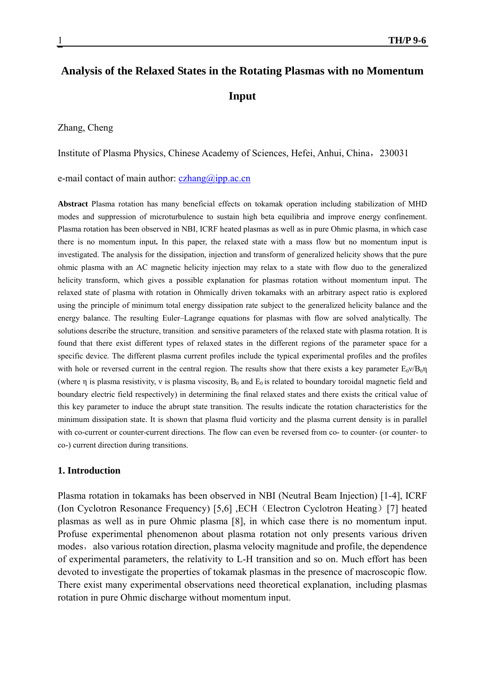# **Analysis of the Relaxed States in the Rotating Plasmas with no Momentum Input**

#### Zhang, Cheng

Institute of Plasma Physics, Chinese Academy of Sciences, Hefei, Anhui, China,230031

e-mail contact of main author:  $czhang@ipp.ac.cn$ 

**Abstract** Plasma rotation has many beneficial effects on tokamak operation including stabilization of MHD modes and suppression of microturbulence to sustain high beta equilibria and improve energy confinement. Plasma rotation has been observed in NBI, ICRF heated plasmas as well as in pure Ohmic plasma, in which case there is no momentum input**.** In this paper, the relaxed state with a mass flow but no momentum input is investigated. The analysis for the dissipation, injection and transform of generalized helicity shows that the pure ohmic plasma with an AC magnetic helicity injection may relax to a state with flow duo to the generalized helicity transform, which gives a possible explanation for plasmas rotation without momentum input. The relaxed state of plasma with rotation in Ohmically driven tokamaks with an arbitrary aspect ratio is explored using the principle of minimum total energy dissipation rate subject to the generalized helicity balance and the energy balance. The resulting Euler–Lagrange equations for plasmas with flow are solved analytically. The solutions describe the structure, transition, and sensitive parameters of the relaxed state with plasma rotation. It is found that there exist different types of relaxed states in the different regions of the parameter space for a specific device. The different plasma current profiles include the typical experimental profiles and the profiles with hole or reversed current in the central region. The results show that there exists a key parameter  $E_0v/B_0\eta$ (where n is plasma resistivity, v is plasma viscosity,  $B_0$  and  $E_0$  is related to boundary toroidal magnetic field and boundary electric field respectively) in determining the final relaxed states and there exists the critical value of this key parameter to induce the abrupt state transition. The results indicate the rotation characteristics for the minimum dissipation state. It is shown that plasma fluid vorticity and the plasma current density is in parallel with co-current or counter-current directions. The flow can even be reversed from co- to counter- (or counter- to co-) current direction during transitions.

## **1. Introduction**

Plasma rotation in tokamaks has been observed in NBI (Neutral Beam Injection) [1-4], ICRF (Ion Cyclotron Resonance Frequency) [5,6] ,ECH(Electron Cyclotron Heating)[7] heated plasmas as well as in pure Ohmic plasma [8], in which case there is no momentum input. Profuse experimental phenomenon about plasma rotation not only presents various driven modes, also various rotation direction, plasma velocity magnitude and profile, the dependence of experimental parameters, the relativity to L-H transition and so on. Much effort has been devoted to investigate the properties of tokamak plasmas in the presence of macroscopic flow. There exist many experimental observations need theoretical explanation, including plasmas rotation in pure Ohmic discharge without momentum input.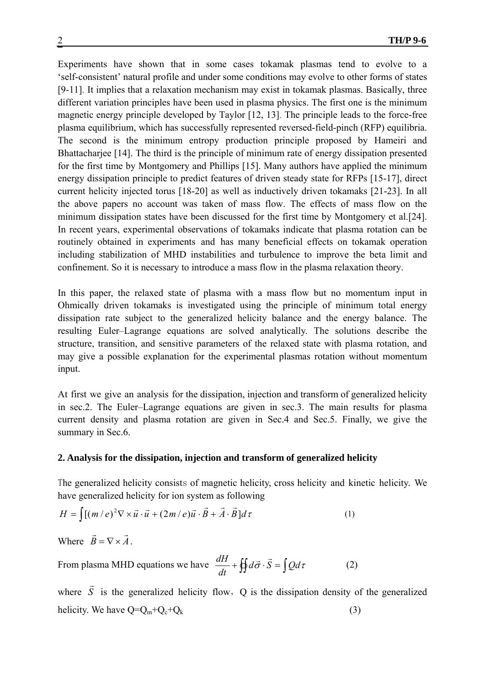Experiments have shown that in some cases tokamak plasmas tend to evolve to a 'self-consistent' natural profile and under some conditions may evolve to other forms of states [9-11]. It implies that a relaxation mechanism may exist in tokamak plasmas. Basically, three different variation principles have been used in plasma physics. The first one is the minimum magnetic energy principle developed by Taylor [12, 13]. The principle leads to the force-free plasma equilibrium, which has successfully represented reversed-field-pinch (RFP) equilibria. The second is the minimum entropy production principle proposed by Hameiri and Bhattacharjee [14]. The third is the principle of minimum rate of energy dissipation presented for the first time by Montgomery and Phillips [15]. Many authors have applied the minimum energy dissipation principle to predict features of driven steady state for RFPs [15-17], direct current helicity injected torus [18-20] as well as inductively driven tokamaks [21-23]. In all the above papers no account was taken of mass flow. The effects of mass flow on the minimum dissipation states have been discussed for the first time by Montgomery et al.[24]. In recent years, experimental observations of tokamaks indicate that plasma rotation can be routinely obtained in experiments and has many beneficial effects on tokamak operation including stabilization of MHD instabilities and turbulence to improve the beta limit and confinement. So it is necessary to introduce a mass flow in the plasma relaxation theory.

In this paper, the relaxed state of plasma with a mass flow but no momentum input in Ohmically driven tokamaks is investigated using the principle of minimum total energy dissipation rate subject to the generalized helicity balance and the energy balance. The resulting Euler–Lagrange equations are solved analytically. The solutions describe the structure, transition, and sensitive parameters of the relaxed state with plasma rotation, and may give a possible explanation for the experimental plasmas rotation without momentum input.

At first we give an analysis for the dissipation, injection and transform of generalized helicity in sec.2. The Euler–Lagrange equations are given in sec.3. The main results for plasma current density and plasma rotation are given in Sec.4 and Sec.5. Finally, we give the summary in Sec.6.

## **2. Analysis for the dissipation, injection and transform of generalized helicity**

The generalized helicity consists of magnetic helicity, cross helicity and kinetic helicity. We have generalized helicity for ion system as following

$$
H = \int [(m/e)^2 \nabla \times \vec{u} \cdot \vec{u} + (2m/e)\vec{u} \cdot \vec{B} + \vec{A} \cdot \vec{B}] d\tau
$$
 (1)

Where  $\vec{B} = \nabla \times \vec{A}$ .

From plasma MHD equations we have  $\frac{dH}{dt} + \oint d\vec{\sigma} \cdot \vec{S} = \int Q d\tau$  $\frac{dH}{dt} + \oint d\vec{\sigma} \cdot \vec{S} = \int Q d\tau$  (2)

where *S*  $\vec{S}$  is the generalized helicity flow, Q is the dissipation density of the generalized helicity. We have  $Q = Q_m + Q_c + Q_k$  (3)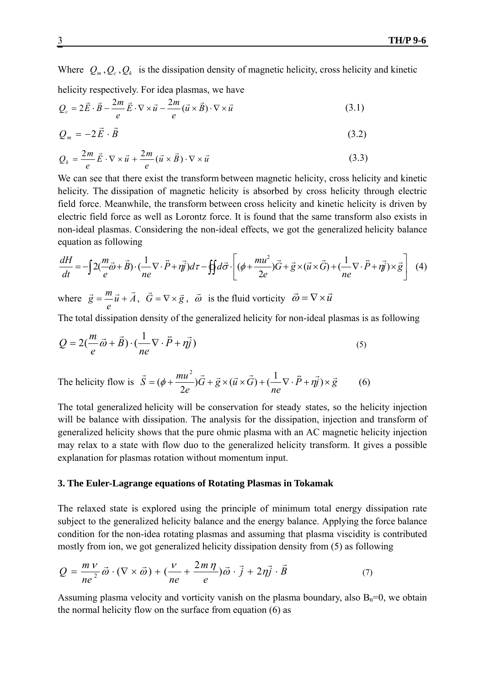Where  $Q_m$ ,  $Q_c$ ,  $Q_k$  is the dissipation density of magnetic helicity, cross helicity and kinetic helicity respectively. For idea plasmas, we have

$$
Q_c = 2\vec{E} \cdot \vec{B} - \frac{2m}{e} \vec{E} \cdot \nabla \times \vec{u} - \frac{2m}{e} (\vec{u} \times \vec{B}) \cdot \nabla \times \vec{u}
$$
 (3.1)

$$
Q_m = -2\vec{E} \cdot \vec{B} \tag{3.2}
$$

$$
Q_k = \frac{2m}{e} \vec{E} \cdot \nabla \times \vec{u} + \frac{2m}{e} (\vec{u} \times \vec{B}) \cdot \nabla \times \vec{u}
$$
 (3.3)

We can see that there exist the transform between magnetic helicity, cross helicity and kinetic helicity. The dissipation of magnetic helicity is absorbed by cross helicity through electric field force. Meanwhile, the transform between cross helicity and kinetic helicity is driven by electric field force as well as Lorontz force. It is found that the same transform also exists in non-ideal plasmas. Considering the non-ideal effects, we got the generalized helicity balance equation as following

$$
\frac{dH}{dt} = -\int 2(\frac{m}{e}\vec{\omega} + \vec{B}) \cdot (\frac{1}{ne}\nabla \cdot \vec{P} + \eta \vec{y})d\tau - \oint d\vec{\sigma} \cdot \left[ (\phi + \frac{mu^2}{2e})\vec{G} + \vec{g} \times (\vec{u} \times \vec{G}) + (\frac{1}{ne}\nabla \cdot \vec{P} + \eta \vec{y}) \times \vec{g} \right] \tag{4}
$$

where  $\vec{g} = \frac{m}{u} \vec{u} + A$ *e*  $\vec{g} = \frac{m}{\vec{u}} + \vec{A}$ ,  $\vec{G} = \nabla \times \vec{g}$ ,  $\vec{\omega}$  is the fluid vorticity  $\vec{\omega} = \nabla \times \vec{u}$ 

The total dissipation density of the generalized helicity for non-ideal plasmas is as following

$$
Q = 2\left(\frac{m}{e}\vec{\omega} + \vec{B}\right) \cdot \left(\frac{1}{ne}\nabla \cdot \vec{P} + \eta \vec{j}\right)
$$
\n<sup>(5)</sup>

The helicity flow is  $S = (\phi + \frac{ma}{2})G + \vec{g} \times (\vec{u} \times G) + (-\nabla \cdot P + \eta \vec{y}) \times \vec{g}$ *ne*  $G + \vec{g} \times (\vec{u} \times G)$  $\vec{S} = (\phi + \frac{mu^2}{2e})\vec{G} + \vec{g} \times (\vec{u} \times \vec{G}) + (\frac{1}{ne} \nabla \cdot \vec{P} + \eta \vec{y}) \times \vec{g}$  $(\phi + \frac{mu}{\epsilon})G + \vec{g} \times (\vec{u} \times G) + (-\nabla \cdot P + \eta \vec{g}) \times \vec{g}$  (6)

The total generalized helicity will be conservation for steady states, so the helicity injection will be balance with dissipation. The analysis for the dissipation, injection and transform of generalized helicity shows that the pure ohmic plasma with an AC magnetic helicity injection may relax to a state with flow duo to the generalized helicity transform. It gives a possible explanation for plasmas rotation without momentum input.

#### **3. The Euler-Lagrange equations of Rotating Plasmas in Tokamak**

The relaxed state is explored using the principle of minimum total energy dissipation rate subject to the generalized helicity balance and the energy balance. Applying the force balance condition for the non-idea rotating plasmas and assuming that plasma viscidity is contributed mostly from ion, we got generalized helicity dissipation density from (5) as following

$$
Q = \frac{m V}{ne^2} \vec{\omega} \cdot (\nabla \times \vec{\omega}) + (\frac{V}{ne} + \frac{2m \eta}{e}) \vec{\omega} \cdot \vec{j} + 2\eta \vec{j} \cdot \vec{B}
$$
(7)

Assuming plasma velocity and vorticity vanish on the plasma boundary, also  $B_n=0$ , we obtain the normal helicity flow on the surface from equation (6) as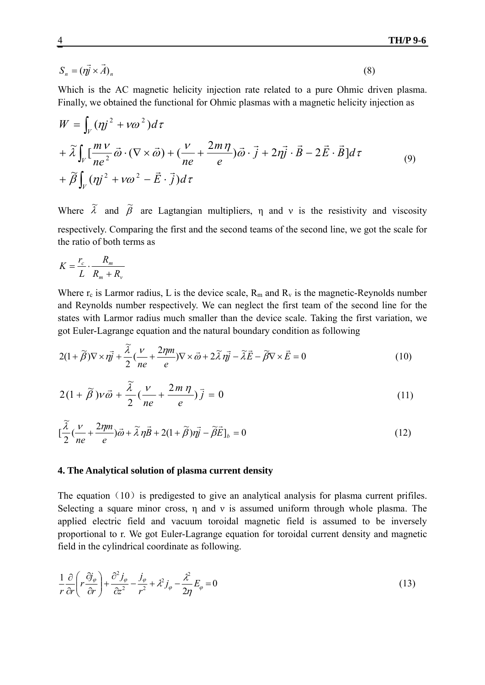$$
S_n = (\vec{\eta} \times \vec{A})_n \tag{8}
$$

Which is the AC magnetic helicity injection rate related to a pure Ohmic driven plasma. Finally, we obtained the functional for Ohmic plasmas with a magnetic helicity injection as

$$
W = \int_{V} (\eta j^2 + v\omega^2) d\tau
$$
  
+  $\tilde{\lambda} \int_{V} \left[ \frac{mV}{ne^2} \vec{\omega} \cdot (\nabla \times \vec{\omega}) + \left( \frac{V}{ne} + \frac{2m\eta}{e} \right) \vec{\omega} \cdot \vec{j} + 2\eta \vec{j} \cdot \vec{B} - 2\vec{E} \cdot \vec{B} \right] d\tau$   
+  $\tilde{\beta} \int_{V} (\eta j^2 + v\omega^2 - \vec{E} \cdot \vec{j}) d\tau$  (9)

Where  $\tilde{\lambda}$  and  $\tilde{\beta}$  are Lagtangian multipliers,  $\eta$  and v is the resistivity and viscosity respectively. Comparing the first and the second teams of the second line, we got the scale for the ratio of both terms as

$$
K = \frac{r_c}{L} \cdot \frac{R_m}{R_m + R_v}
$$

Where  $r_c$  is Larmor radius, L is the device scale,  $R_m$  and  $R_v$  is the magnetic-Reynolds number and Reynolds number respectively. We can neglect the first team of the second line for the states with Larmor radius much smaller than the device scale. Taking the first variation, we got Euler-Lagrange equation and the natural boundary condition as following

$$
2(1+\tilde{\beta})\nabla \times r\vec{y} + \frac{\tilde{\lambda}}{2}\left(\frac{v}{ne} + \frac{2\eta m}{e}\right)\nabla \times \vec{\omega} + 2\tilde{\lambda} r\vec{y} - \tilde{\lambda}\vec{E} - \tilde{\beta}\nabla \times \vec{E} = 0
$$
\n(10)

$$
2\left(1+\tilde{\beta}\right)\nu\vec{\omega}+\frac{\tilde{\lambda}}{2}\left(\frac{\nu}{ne}+\frac{2m\,\eta}{e}\right)\vec{j}=0\tag{11}
$$

$$
\left[\frac{\tilde{\lambda}}{2}\left(\frac{v}{ne} + \frac{2\eta m}{e}\right)\vec{\omega} + \tilde{\lambda}\eta \vec{B} + 2(1+\tilde{\beta})\eta \vec{y} - \tilde{\beta}\vec{E}\right]_b = 0\tag{12}
$$

## **4. The Analytical solution of plasma current density**

The equation  $(10)$  is predigested to give an analytical analysis for plasma current prifiles. Selecting a square minor cross, η and ν is assumed uniform through whole plasma. The applied electric field and vacuum toroidal magnetic field is assumed to be inversely proportional to r. We got Euler-Lagrange equation for toroidal current density and magnetic field in the cylindrical coordinate as following.

$$
\frac{1}{r}\frac{\partial}{\partial r}\left(r\frac{\partial j_{\varphi}}{\partial r}\right) + \frac{\partial^2 j_{\varphi}}{\partial z^2} - \frac{j_{\varphi}}{r^2} + \lambda^2 j_{\varphi} - \frac{\lambda^2}{2\eta}E_{\varphi} = 0
$$
\n(13)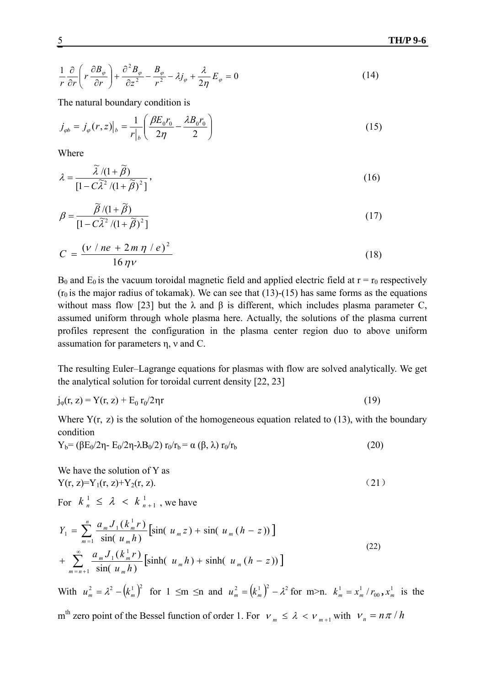$$
\frac{1}{r}\frac{\partial}{\partial r}\left(r\frac{\partial B_{\varphi}}{\partial r}\right) + \frac{\partial^2 B_{\varphi}}{\partial z^2} - \frac{B_{\varphi}}{r^2} - \lambda j_{\varphi} + \frac{\lambda}{2\eta}E_{\varphi} = 0
$$
\n(14)

The natural boundary condition is

$$
j_{\varphi b} = j_{\varphi}(r, z)|_{b} = \frac{1}{r|_{b}} \left( \frac{\beta E_{0} r_{0}}{2\eta} - \frac{\lambda B_{0} r_{0}}{2} \right)
$$
(15)

Where

$$
\lambda = \frac{\tilde{\lambda} / (1 + \tilde{\beta})}{\left[1 - C\tilde{\lambda}^2 / (1 + \tilde{\beta})^2\right]},
$$
\n(16)

$$
\beta = \frac{\tilde{\beta}/(1+\tilde{\beta})}{[1-C\tilde{\lambda}^2/(1+\tilde{\beta})^2]}
$$
\n(17)

$$
C = \frac{(v / ne + 2m \eta / e)^2}{16 \eta v}
$$
 (18)

 $B_0$  and  $E_0$  is the vacuum toroidal magnetic field and applied electric field at  $r = r_0$  respectively ( $r_0$  is the major radius of tokamak). We can see that (13)-(15) has same forms as the equations without mass flow [23] but the  $\lambda$  and  $\beta$  is different, which includes plasma parameter C, assumed uniform through whole plasma here. Actually, the solutions of the plasma current profiles represent the configuration in the plasma center region duo to above uniform assumation for parameters η, ν and C.

The resulting Euler–Lagrange equations for plasmas with flow are solved analytically. We get the analytical solution for toroidal current density [22, 23]

$$
j_{\varphi}(r, z) = Y(r, z) + E_0 r_0 / 2\eta r
$$
\n(19)

Where  $Y(r, z)$  is the solution of the homogeneous equation related to (13), with the boundary condition

$$
Y_b = (\beta E_0/2\eta - E_0/2\eta - \lambda B_0/2) r_0/r_b = \alpha (\beta, \lambda) r_0/r_b
$$
\n(20)

We have the solution of Y as  $Y(r, z)=Y_1(r, z)+Y_2(r, z).$  (21)

For  $k_n^1 \leq \lambda < k_{n+1}^1$ , we have  $k_{n}^{\perp} \leq \lambda \ < k_{n+1}^{\perp}$ 

$$
Y_{1} = \sum_{m=1}^{n} \frac{a_{m} J_{1}(k_{m}^{1} r)}{\sin(u_{m} h)} \Big[ \sin(u_{m} z) + \sin(u_{m} (h - z)) \Big] + \sum_{m=n+1}^{\infty} \frac{a_{m} J_{1}(k_{m}^{1} r)}{\sin(u_{m} h)} \Big[ \sinh(u_{m} h) + \sinh(u_{m} (h - z)) \Big]
$$
(22)

With  $u_m^2 = \lambda^2 - (k_m^1)^2$  for  $1 \le m \le n$  and  $u_m^2 = (k_m^1)^2 - \lambda^2$  for  $m > n$ .  $k_m^1 = x_m^1 / r_{00}, x_m^1$  is the

m<sup>th</sup> zero point of the Bessel function of order 1. For  $v_m \le \lambda < v_{m+1}$  with  $v_n = n\pi / h$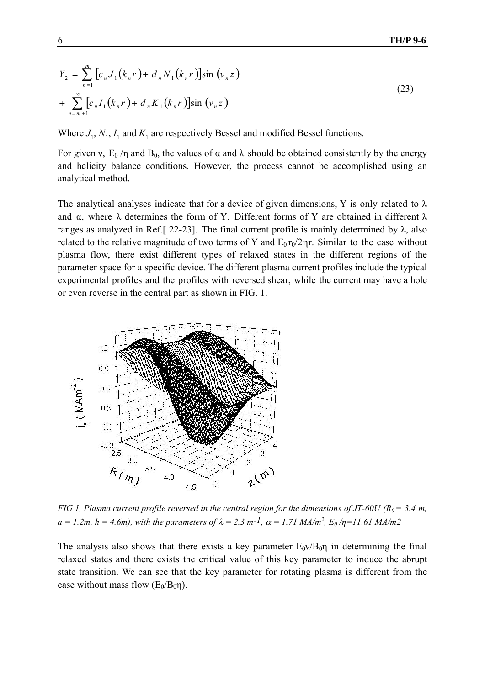$$
Y_2 = \sum_{n=1}^{m} \left[ c_n J_1(k_n r) + d_n N_1(k_n r) \right] \sin(v_n z)
$$
  
+ 
$$
\sum_{n=m+1}^{\infty} \left[ c_n I_1(k_n r) + d_n K_1(k_n r) \right] \sin(v_n z)
$$
 (23)

Where  $J_1$ ,  $N_1$ ,  $I_1$  and  $K_1$  are respectively Bessel and modified Bessel functions.

For given v,  $E_0 / \eta$  and  $B_0$ , the values of  $\alpha$  and  $\lambda$  should be obtained consistently by the energy and helicity balance conditions. However, the process cannot be accomplished using an analytical method.

The analytical analyses indicate that for a device of given dimensions, Y is only related to  $\lambda$ and  $\alpha$ , where  $\lambda$  determines the form of Y. Different forms of Y are obtained in different  $\lambda$ ranges as analyzed in Ref.[ 22-23]. The final current profile is mainly determined by λ, also related to the relative magnitude of two terms of Y and  $E_0 r_0/2\eta r$ . Similar to the case without plasma flow, there exist different types of relaxed states in the different regions of the parameter space for a specific device. The different plasma current profiles include the typical experimental profiles and the profiles with reversed shear, while the current may have a hole or even reverse in the central part as shown in FIG. 1.



*FIG 1, Plasma current profile reversed in the central region for the dimensions of JT-60U (R<sub>0</sub> = 3.4 m,*  $a = 1.2m$ ,  $h = 4.6m$ , with the parameters of  $\lambda = 2.3$   $m^{-1}$ ,  $\alpha = 1.71$  MA/m<sup>2</sup>,  $E_0$ / $\eta = 11.61$  MA/m2

The analysis also shows that there exists a key parameter  $E_0v/B_0n$  in determining the final relaxed states and there exists the critical value of this key parameter to induce the abrupt state transition. We can see that the key parameter for rotating plasma is different from the case without mass flow  $(E_0/B_0\eta)$ .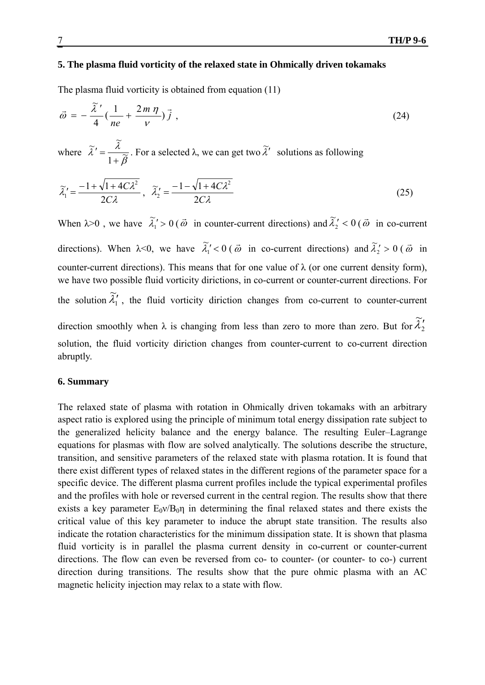# **5. The plasma fluid vorticity of the relaxed state in Ohmically driven tokamaks**

The plasma fluid vorticity is obtained from equation (11)

$$
\vec{\omega} = -\frac{\tilde{\lambda}'}{4} \left( \frac{1}{ne} + \frac{2m\,\eta}{\nu} \right) \vec{j} \tag{24}
$$

where  $\widetilde{\lambda}' = \frac{\lambda}{1+\widetilde{\beta}}$  $\tilde{a}$ ,  $\tilde{\lambda}$  $' = \frac{\lambda}{1+\widetilde{\beta}}$ . For a selected  $\lambda$ , we can get two  $\widetilde{\lambda}'$  solutions as following

$$
\widetilde{\lambda}_1' = \frac{-1 + \sqrt{1 + 4C\lambda^2}}{2C\lambda}, \quad \widetilde{\lambda}_2' = \frac{-1 - \sqrt{1 + 4C\lambda^2}}{2C\lambda}
$$
\n(25)

When  $\lambda > 0$ , we have  $\tilde{\lambda}_1 > 0$  ( $\vec{\omega}$  in counter-current directions) and  $\tilde{\lambda}_2' < 0$  ( $\vec{\omega}$  in co-current directions). When  $\lambda < 0$ , we have  $\tilde{\lambda}_1' < 0$  ( $\vec{\omega}$  in co-current directions) and  $\tilde{\lambda}_2' > 0$  ( $\vec{\omega}$  in counter-current directions). This means that for one value of  $\lambda$  (or one current density form), we have two possible fluid vorticity dirictions, in co-current or counter-current directions. For the solution  $\lambda_1$  $\widetilde{\lambda}'_1$ , the fluid vorticity diriction changes from co-current to counter-current direction smoothly when  $\lambda$  is changing from less than zero to more than zero. But for  $\lambda'_2$  $\widetilde{\lambda}'_2$ solution, the fluid vorticity diriction changes from counter-current to co-current direction abruptly.

## **6. Summary**

The relaxed state of plasma with rotation in Ohmically driven tokamaks with an arbitrary aspect ratio is explored using the principle of minimum total energy dissipation rate subject to the generalized helicity balance and the energy balance. The resulting Euler–Lagrange equations for plasmas with flow are solved analytically. The solutions describe the structure, transition, and sensitive parameters of the relaxed state with plasma rotation. It is found that there exist different types of relaxed states in the different regions of the parameter space for a specific device. The different plasma current profiles include the typical experimental profiles and the profiles with hole or reversed current in the central region. The results show that there exists a key parameter  $E_0v/B_0n$  in determining the final relaxed states and there exists the critical value of this key parameter to induce the abrupt state transition. The results also indicate the rotation characteristics for the minimum dissipation state. It is shown that plasma fluid vorticity is in parallel the plasma current density in co-current or counter-current directions. The flow can even be reversed from co- to counter- (or counter- to co-) current direction during transitions. The results show that the pure ohmic plasma with an AC magnetic helicity injection may relax to a state with flow.